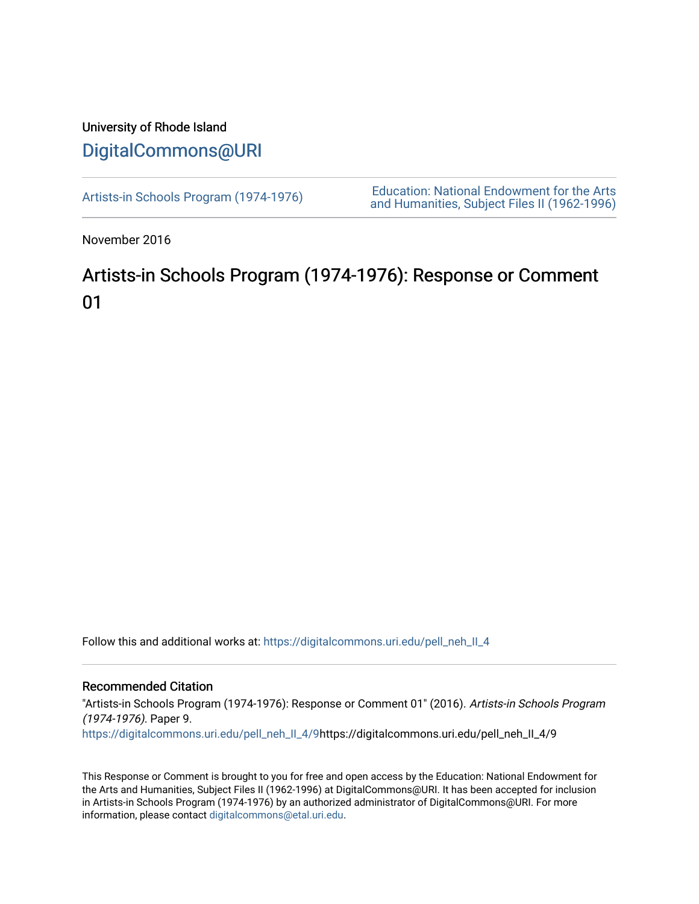## University of Rhode Island [DigitalCommons@URI](https://digitalcommons.uri.edu/)

[Artists-in Schools Program \(1974-1976\)](https://digitalcommons.uri.edu/pell_neh_II_4) [Education: National Endowment for the Arts](https://digitalcommons.uri.edu/pell_neh_II)  [and Humanities, Subject Files II \(1962-1996\)](https://digitalcommons.uri.edu/pell_neh_II) 

November 2016

## Artists-in Schools Program (1974-1976): Response or Comment 01

Follow this and additional works at: [https://digitalcommons.uri.edu/pell\\_neh\\_II\\_4](https://digitalcommons.uri.edu/pell_neh_II_4?utm_source=digitalcommons.uri.edu%2Fpell_neh_II_4%2F9&utm_medium=PDF&utm_campaign=PDFCoverPages) 

## Recommended Citation

"Artists-in Schools Program (1974-1976): Response or Comment 01" (2016). Artists-in Schools Program (1974-1976). Paper 9.

[https://digitalcommons.uri.edu/pell\\_neh\\_II\\_4/9](https://digitalcommons.uri.edu/pell_neh_II_4/9?utm_source=digitalcommons.uri.edu%2Fpell_neh_II_4%2F9&utm_medium=PDF&utm_campaign=PDFCoverPages)https://digitalcommons.uri.edu/pell\_neh\_II\_4/9

This Response or Comment is brought to you for free and open access by the Education: National Endowment for the Arts and Humanities, Subject Files II (1962-1996) at DigitalCommons@URI. It has been accepted for inclusion in Artists-in Schools Program (1974-1976) by an authorized administrator of DigitalCommons@URI. For more information, please contact [digitalcommons@etal.uri.edu.](mailto:digitalcommons@etal.uri.edu)